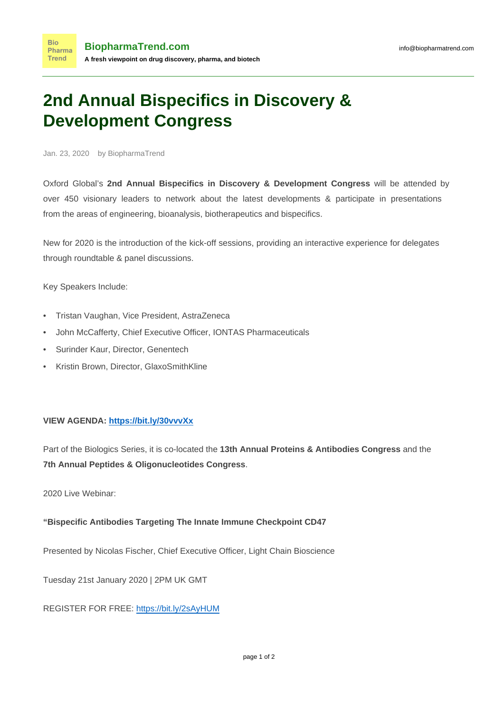## **2nd Annual Bispecifics in Discovery & Development Congress**

Jan. 23, 2020 by BiopharmaTrend

Oxford Global's **2nd Annual Bispecifics in Discovery & Development Congress** will be attended by over 450 visionary leaders to network about the latest developments & participate in presentations from the areas of engineering, bioanalysis, biotherapeutics and bispecifics.

New for 2020 is the introduction of the kick-off sessions, providing an interactive experience for delegates through roundtable & panel discussions.

Key Speakers Include:

- Tristan Vaughan, Vice President, AstraZeneca
- John McCafferty, Chief Executive Officer, IONTAS Pharmaceuticals
- Surinder Kaur, Director, Genentech
- Kristin Brown, Director, GlaxoSmithKline

## **VIEW AGENDA: <https://bit.ly/30vvvXx>**

Part of the Biologics Series, it is co-located the **13th Annual Proteins & Antibodies Congress** and the **7th Annual Peptides & Oligonucleotides Congress**.

2020 Live Webinar:

## **"Bispecific Antibodies Targeting The Innate Immune Checkpoint CD47**

Presented by Nicolas Fischer, Chief Executive Officer, Light Chain Bioscience

Tuesday 21st January 2020 | 2PM UK GMT

REGISTER FOR FREE:<https://bit.ly/2sAyHUM>